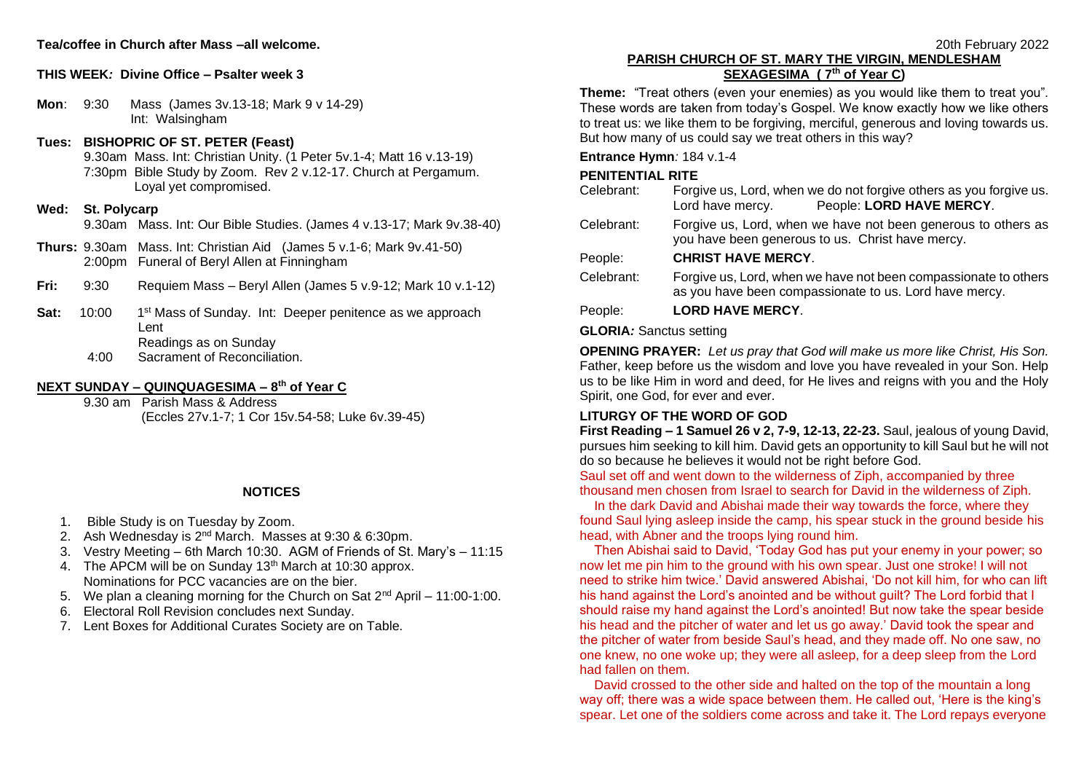## **Tea/coffee in Church after Mass –all welcome.**

#### **THIS WEEK***:* **Divine Office – Psalter week 3**

**Mon**: 9:30 Mass (James 3v.13-18; Mark 9 v 14-29) Int: Walsingham

# **Tues: BISHOPRIC OF ST. PETER (Feast)**

9.30am Mass. Int: Christian Unity. (1 Peter 5v.1-4; Matt 16 v.13-19) 7:30pm Bible Study by Zoom. Rev 2 v.12-17. Church at Pergamum. Loyal yet compromised.

#### **Wed: St. Polycarp**

9.30am Mass. Int: Our Bible Studies. (James 4 v.13-17; Mark 9v.38-40)

**Thurs:** 9.30am Mass. Int: Christian Aid(James 5 v.1-6; Mark 9v.41-50) 2:00pm Funeral of Beryl Allen at Finningham

- **Fri:** 9:30 Requiem Mass Beryl Allen (James 5 v.9-12; Mark 10 v.1-12)
- **Sat:** 10:00 1<sup>st</sup> Mass of Sunday. Int: Deeper penitence as we approach Lent Readings as on Sunday
	- 4:00 Sacrament of Reconciliation.

## **NEXT SUNDAY – QUINQUAGESIMA – 8 th of Year C**

9.30 am Parish Mass & Address (Eccles 27v.1-7; 1 Cor 15v.54-58; Luke 6v.39-45)

## **NOTICES**

- 1. Bible Study is on Tuesday by Zoom.
- 2. Ash Wednesday is 2<sup>nd</sup> March. Masses at 9:30 & 6:30pm.
- 3. Vestry Meeting 6th March 10:30. AGM of Friends of St. Mary's 11:15
- 4. The APCM will be on Sunday 13<sup>th</sup> March at 10:30 approx. Nominations for PCC vacancies are on the bier.
- 5. We plan a cleaning morning for the Church on Sat  $2^{nd}$  April 11:00-1:00.
- 6. Electoral Roll Revision concludes next Sunday.
- 7. Lent Boxes for Additional Curates Society are on Table.

## **PARISH CHURCH OF ST. MARY THE VIRGIN, MENDLESHAM SEXAGESIMA ( 7th of Year C)**

**Theme:** "Treat others (even your enemies) as you would like them to treat you". These words are taken from today's Gospel. We know exactly how we like others to treat us: we like them to be forgiving, merciful, generous and loving towards us. But how many of us could say we treat others in this way?

## **Entrance Hymn***:* 184 v.1-4

## **PENITENTIAL RITE**

| Celebrant:                     | Forgive us, Lord, when we do not forgive others as you forgive us.<br>People: LORD HAVE MERCY.<br>Lord have mercy.        |
|--------------------------------|---------------------------------------------------------------------------------------------------------------------------|
| Celebrant:                     | Forgive us, Lord, when we have not been generous to others as<br>you have been generous to us. Christ have mercy.         |
| People:                        | <b>CHRIST HAVE MERCY.</b>                                                                                                 |
| Celebrant:                     | Forgive us, Lord, when we have not been compassionate to others<br>as you have been compassionate to us. Lord have mercy. |
| People:                        | <b>LORD HAVE MERCY.</b>                                                                                                   |
| <b>GLORIA:</b> Sanctus setting |                                                                                                                           |

**OPENING PRAYER:** *Let us pray that God will make us more like Christ, His Son.*  Father, keep before us the wisdom and love you have revealed in your Son. Help us to be like Him in word and deed, for He lives and reigns with you and the Holy Spirit, one God, for ever and ever.

## **LITURGY OF THE WORD OF GOD**

**First Reading – 1 Samuel 26 v 2, 7-9, 12-13, 22-23.** Saul, jealous of young David, pursues him seeking to kill him. David gets an opportunity to kill Saul but he will not do so because he believes it would not be right before God.

Saul set off and went down to the wilderness of Ziph, accompanied by three thousand men chosen from Israel to search for David in the wilderness of Ziph.

In the dark David and Abishai made their way towards the force, where they found Saul lying asleep inside the camp, his spear stuck in the ground beside his head, with Abner and the troops lying round him.

 Then Abishai said to David, 'Today God has put your enemy in your power; so now let me pin him to the ground with his own spear. Just one stroke! I will not need to strike him twice.' David answered Abishai, 'Do not kill him, for who can lift his hand against the Lord's anointed and be without guilt? The Lord forbid that I should raise my hand against the Lord's anointed! But now take the spear beside his head and the pitcher of water and let us go away.' David took the spear and the pitcher of water from beside Saul's head, and they made off. No one saw, no one knew, no one woke up; they were all asleep, for a deep sleep from the Lord had fallen on them.

 David crossed to the other side and halted on the top of the mountain a long way off; there was a wide space between them. He called out, 'Here is the king's spear. Let one of the soldiers come across and take it. The Lord repays everyone

20th February 2022